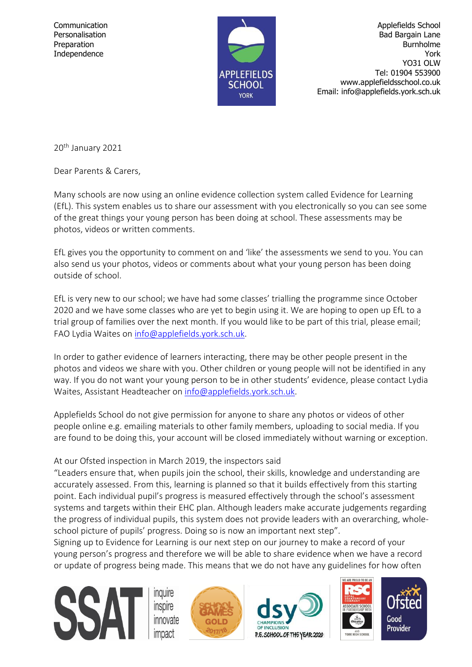

Communication Applefields School Personalisation and Communication Applefields School Personalisation and Communication and Communication and Communication and Communication and Communication and Communication and Communic Bad Bargain Lane Preparation **Burnholme** Independence York The Second Second Second Second Second Second Second Second Second Second Second Second Second Second Second Second Second Second Second Second Second Second Second Second Second Second Second Second Seco YO31 OLW Tel: 01904 553900 www.applefieldsschool.co.uk Email: info@applefields.york.sch.uk

20<sup>th</sup> January 2021

Dear Parents & Carers,

Many schools are now using an online evidence collection system called Evidence for Learning (EfL). This system enables us to share our assessment with you electronically so you can see some of the great things your young person has been doing at school. These assessments may be photos, videos or written comments.

EfL gives you the opportunity to comment on and 'like' the assessments we send to you. You can also send us your photos, videos or comments about what your young person has been doing outside of school.

EfL is very new to our school; we have had some classes' trialling the programme since October 2020 and we have some classes who are yet to begin using it. We are hoping to open up EfL to a trial group of families over the next month. If you would like to be part of this trial, please email; FAO Lydia Waites on [info@applefields.york.sch.uk.](mailto:info@applefields.york.sch.uk)

In order to gather evidence of learners interacting, there may be other people present in the photos and videos we share with you. Other children or young people will not be identified in any way. If you do not want your young person to be in other students' evidence, please contact Lydia Waites, Assistant Headteacher on [info@applefields.york.sch.uk.](mailto:info@applefields.york.sch.uk)

Applefields School do not give permission for anyone to share any photos or videos of other people online e.g. emailing materials to other family members, uploading to social media. If you are found to be doing this, your account will be closed immediately without warning or exception.

## At our Ofsted inspection in March 2019, the inspectors said

"Leaders ensure that, when pupils join the school, their skills, knowledge and understanding are accurately assessed. From this, learning is planned so that it builds effectively from this starting point. Each individual pupil's progress is measured effectively through the school's assessment systems and targets within their EHC plan. Although leaders make accurate judgements regarding the progress of individual pupils, this system does not provide leaders with an overarching, wholeschool picture of pupils' progress. Doing so is now an important next step".

Signing up to Evidence for Learning is our next step on our journey to make a record of your young person's progress and therefore we will be able to share evidence when we have a record or update of progress being made. This means that we do not have any guidelines for how often

> **Inquire** inspire innovate